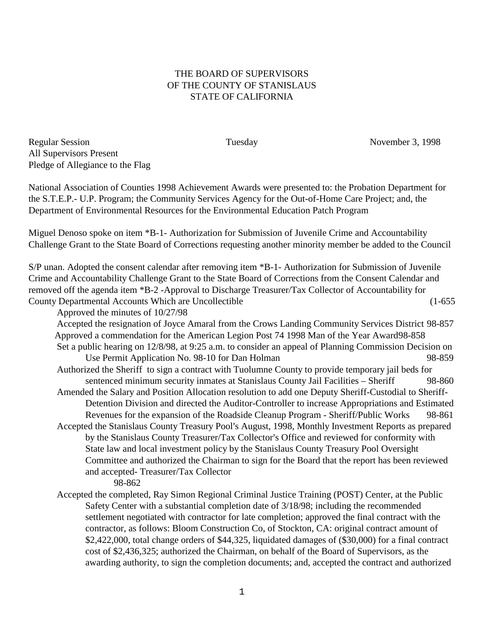## THE BOARD OF SUPERVISORS OF THE COUNTY OF STANISLAUS STATE OF CALIFORNIA

Regular Session Tuesday Tuesday November 3, 1998 All Supervisors Present Pledge of Allegiance to the Flag

National Association of Counties 1998 Achievement Awards were presented to: the Probation Department for the S.T.E.P.- U.P. Program; the Community Services Agency for the Out-of-Home Care Project; and, the Department of Environmental Resources for the Environmental Education Patch Program

Miguel Denoso spoke on item \*B-1- Authorization for Submission of Juvenile Crime and Accountability Challenge Grant to the State Board of Corrections requesting another minority member be added to the Council

S/P unan. Adopted the consent calendar after removing item \*B-1- Authorization for Submission of Juvenile Crime and Accountability Challenge Grant to the State Board of Corrections from the Consent Calendar and removed off the agenda item \*B-2 -Approval to Discharge Treasurer/Tax Collector of Accountability for County Departmental Accounts Which are Uncollectible (1-655

Approved the minutes of 10/27/98

Accepted the resignation of Joyce Amaral from the Crows Landing Community Services District 98-857 Approved a commendation for the American Legion Post 74 1998 Man of the Year Award98-858 Set a public hearing on 12/8/98, at 9:25 a.m. to consider an appeal of Planning Commission Decision on

Use Permit Application No. 98-10 for Dan Holman 98-859 Authorized the Sheriff to sign a contract with Tuolumne County to provide temporary jail beds for sentenced minimum security inmates at Stanislaus County Jail Facilities – Sheriff 98-860

- Amended the Salary and Position Allocation resolution to add one Deputy Sheriff-Custodial to Sheriff-Detention Division and directed the Auditor-Controller to increase Appropriations and Estimated Revenues for the expansion of the Roadside Cleanup Program - Sheriff/Public Works 98-861 Accepted the Stanislaus County Treasury Pool's August, 1998, Monthly Investment Reports as prepared
	- by the Stanislaus County Treasurer/Tax Collector's Office and reviewed for conformity with State law and local investment policy by the Stanislaus County Treasury Pool Oversight Committee and authorized the Chairman to sign for the Board that the report has been reviewed and accepted- Treasurer/Tax Collector
		- 98-862
- Accepted the completed, Ray Simon Regional Criminal Justice Training (POST) Center, at the Public Safety Center with a substantial completion date of 3/18/98; including the recommended settlement negotiated with contractor for late completion; approved the final contract with the contractor, as follows: Bloom Construction Co, of Stockton, CA: original contract amount of \$2,422,000, total change orders of \$44,325, liquidated damages of (\$30,000) for a final contract cost of \$2,436,325; authorized the Chairman, on behalf of the Board of Supervisors, as the awarding authority, to sign the completion documents; and, accepted the contract and authorized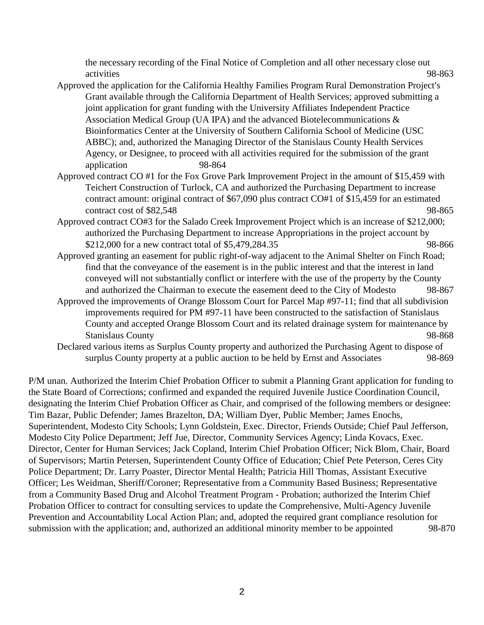the necessary recording of the Final Notice of Completion and all other necessary close out activities 98-863

- Approved the application for the California Healthy Families Program Rural Demonstration Project's Grant available through the California Department of Health Services; approved submitting a joint application for grant funding with the University Affiliates Independent Practice Association Medical Group (UA IPA) and the advanced Biotelecommunications & Bioinformatics Center at the University of Southern California School of Medicine (USC ABBC); and, authorized the Managing Director of the Stanislaus County Health Services Agency, or Designee, to proceed with all activities required for the submission of the grant application 98-864
- Approved contract CO #1 for the Fox Grove Park Improvement Project in the amount of \$15,459 with Teichert Construction of Turlock, CA and authorized the Purchasing Department to increase contract amount: original contract of \$67,090 plus contract CO#1 of \$15,459 for an estimated contract cost of \$82,548 98-865
- Approved contract CO#3 for the Salado Creek Improvement Project which is an increase of \$212,000; authorized the Purchasing Department to increase Appropriations in the project account by \$212,000 for a new contract total of \$5,479,284.35 98-866
- Approved granting an easement for public right-of-way adjacent to the Animal Shelter on Finch Road; find that the conveyance of the easement is in the public interest and that the interest in land conveyed will not substantially conflict or interfere with the use of the property by the County and authorized the Chairman to execute the easement deed to the City of Modesto 98-867
- Approved the improvements of Orange Blossom Court for Parcel Map #97-11; find that all subdivision improvements required for PM #97-11 have been constructed to the satisfaction of Stanislaus County and accepted Orange Blossom Court and its related drainage system for maintenance by Stanislaus County 98-868
- Declared various items as Surplus County property and authorized the Purchasing Agent to dispose of surplus County property at a public auction to be held by Ernst and Associates 98-869

P/M unan. Authorized the Interim Chief Probation Officer to submit a Planning Grant application for funding to the State Board of Corrections; confirmed and expanded the required Juvenile Justice Coordination Council, designating the Interim Chief Probation Officer as Chair, and comprised of the following members or designee: Tim Bazar, Public Defender; James Brazelton, DA; William Dyer, Public Member; James Enochs, Superintendent, Modesto City Schools; Lynn Goldstein, Exec. Director, Friends Outside; Chief Paul Jefferson, Modesto City Police Department; Jeff Jue, Director, Community Services Agency; Linda Kovacs, Exec. Director, Center for Human Services; Jack Copland, Interim Chief Probation Officer; Nick Blom, Chair, Board of Supervisors; Martin Petersen, Superintendent County Office of Education; Chief Pete Peterson, Ceres City Police Department; Dr. Larry Poaster, Director Mental Health; Patricia Hill Thomas, Assistant Executive Officer; Les Weidman, Sheriff/Coroner; Representative from a Community Based Business; Representative from a Community Based Drug and Alcohol Treatment Program - Probation; authorized the Interim Chief Probation Officer to contract for consulting services to update the Comprehensive, Multi-Agency Juvenile Prevention and Accountability Local Action Plan; and, adopted the required grant compliance resolution for submission with the application; and, authorized an additional minority member to be appointed 98-870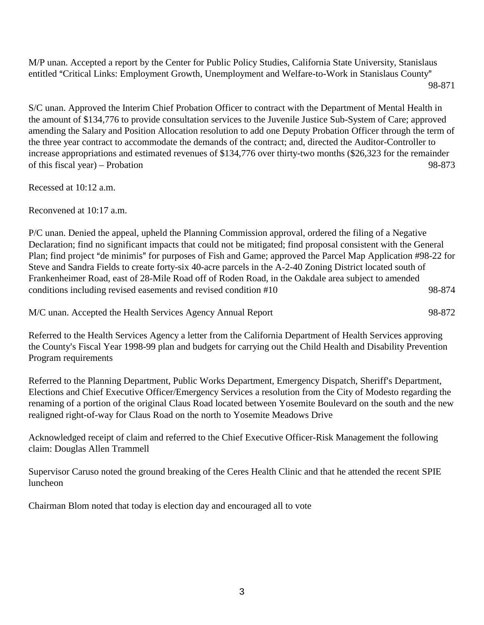M/P unan. Accepted a report by the Center for Public Policy Studies, California State University, Stanislaus entitled "Critical Links: Employment Growth, Unemployment and Welfare-to-Work in Stanislaus County" 98-871

S/C unan. Approved the Interim Chief Probation Officer to contract with the Department of Mental Health in the amount of \$134,776 to provide consultation services to the Juvenile Justice Sub-System of Care; approved amending the Salary and Position Allocation resolution to add one Deputy Probation Officer through the term of the three year contract to accommodate the demands of the contract; and, directed the Auditor-Controller to increase appropriations and estimated revenues of \$134,776 over thirty-two months (\$26,323 for the remainder of this fiscal year) – Probation 98-873

Recessed at 10:12 a.m.

Reconvened at 10:17 a.m.

P/C unan. Denied the appeal, upheld the Planning Commission approval, ordered the filing of a Negative Declaration; find no significant impacts that could not be mitigated; find proposal consistent with the General Plan; find project "de minimis" for purposes of Fish and Game; approved the Parcel Map Application #98-22 for Steve and Sandra Fields to create forty-six 40-acre parcels in the A-2-40 Zoning District located south of Frankenheimer Road, east of 28-Mile Road off of Roden Road, in the Oakdale area subject to amended conditions including revised easements and revised condition #10 98-874

M/C unan. Accepted the Health Services Agency Annual Report 98-872

Referred to the Health Services Agency a letter from the California Department of Health Services approving the County's Fiscal Year 1998-99 plan and budgets for carrying out the Child Health and Disability Prevention Program requirements

Referred to the Planning Department, Public Works Department, Emergency Dispatch, Sheriff's Department, Elections and Chief Executive Officer/Emergency Services a resolution from the City of Modesto regarding the renaming of a portion of the original Claus Road located between Yosemite Boulevard on the south and the new realigned right-of-way for Claus Road on the north to Yosemite Meadows Drive

Acknowledged receipt of claim and referred to the Chief Executive Officer-Risk Management the following claim: Douglas Allen Trammell

Supervisor Caruso noted the ground breaking of the Ceres Health Clinic and that he attended the recent SPIE luncheon

Chairman Blom noted that today is election day and encouraged all to vote